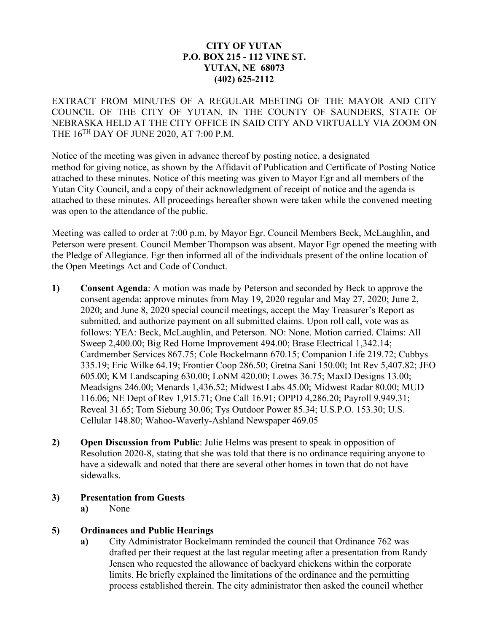# **CITY OF YUTAN P.O. BOX 215 - 112 VINE ST. YUTAN, NE 68073 (402) 625-2112**

EXTRACT FROM MINUTES OF A REGULAR MEETING OF THE MAYOR AND CITY COUNCIL OF THE CITY OF YUTAN, IN THE COUNTY OF SAUNDERS, STATE OF NEBRASKA HELD AT THE CITY OFFICE IN SAID CITY AND VIRTUALLY VIA ZOOM ON THE  $16^{TH}$  DAY OF JUNE 2020, AT 7:00 P.M.

Notice of the meeting was given in advance thereof by posting notice, a designated method for giving notice, as shown by the Affidavit of Publication and Certificate of Posting Notice attached to these minutes. Notice of this meeting was given to Mayor Egr and all members of the Yutan City Council, and a copy of their acknowledgment of receipt of notice and the agenda is attached to these minutes. All proceedings hereafter shown were taken while the convened meeting was open to the attendance of the public.

Meeting was called to order at 7:00 p.m. by Mayor Egr. Council Members Beck, McLaughlin, and Peterson were present. Council Member Thompson was absent. Mayor Egr opened the meeting with the Pledge of Allegiance. Egr then informed all of the individuals present of the online location of the Open Meetings Act and Code of Conduct.

- **1) Consent Agenda**: A motion was made by Peterson and seconded by Beck to approve the consent agenda: approve minutes from May 19, 2020 regular and May 27, 2020; June 2, 2020; and June 8, 2020 special council meetings, accept the May Treasurer's Report as submitted, and authorize payment on all submitted claims. Upon roll call, vote was as follows: YEA: Beck, McLaughlin, and Peterson. NO: None. Motion carried. Claims: All Sweep 2,400.00; Big Red Home Improvement 494.00; Brase Electrical 1,342.14; Cardmember Services 867.75; Cole Bockelmann 670.15; Companion Life 219.72; Cubbys 335.19; Eric Wilke 64.19; Frontier Coop 286.50; Gretna Sani 150.00; Int Rev 5,407.82; JEO 605.00; KM Landscaping 630.00; LoNM 420.00; Lowes 36.75; MaxD Designs 13.00; Meadsigns 246.00; Menards 1,436.52; Midwest Labs 45.00; Midwest Radar 80.00; MUD 116.06; NE Dept of Rev 1,915.71; One Call 16.91; OPPD 4,286.20; Payroll 9,949.31; Reveal 31.65; Tom Sieburg 30.06; Tys Outdoor Power 85.34; U.S.P.O. 153.30; U.S. Cellular 148.80; Wahoo-Waverly-Ashland Newspaper 469.05
- **2) Open Discussion from Public**: Julie Helms was present to speak in opposition of Resolution 2020-8, stating that she was told that there is no ordinance requiring anyone to have a sidewalk and noted that there are several other homes in town that do not have sidewalks.
- **3) Presentation from Guests**
	- **a)** None

# **5) Ordinances and Public Hearings**

**a)** City Administrator Bockelmann reminded the council that Ordinance 762 was drafted per their request at the last regular meeting after a presentation from Randy Jensen who requested the allowance of backyard chickens within the corporate limits. He briefly explained the limitations of the ordinance and the permitting process established therein. The city administrator then asked the council whether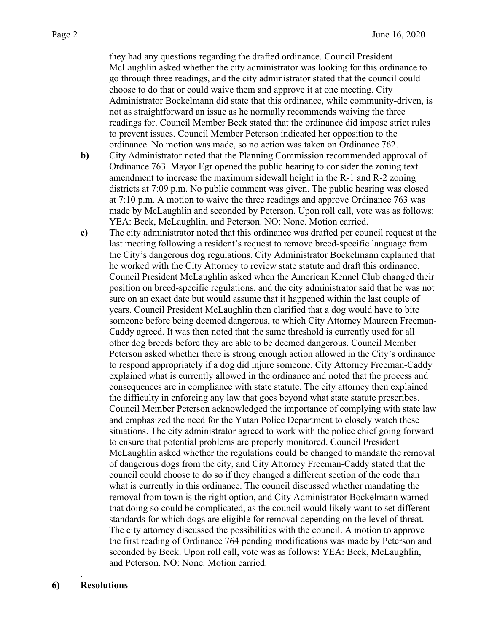they had any questions regarding the drafted ordinance. Council President McLaughlin asked whether the city administrator was looking for this ordinance to go through three readings, and the city administrator stated that the council could choose to do that or could waive them and approve it at one meeting. City Administrator Bockelmann did state that this ordinance, while community-driven, is not as straightforward an issue as he normally recommends waiving the three readings for. Council Member Beck stated that the ordinance did impose strict rules to prevent issues. Council Member Peterson indicated her opposition to the ordinance. No motion was made, so no action was taken on Ordinance 762.

- **b)** City Administrator noted that the Planning Commission recommended approval of Ordinance 763. Mayor Egr opened the public hearing to consider the zoning text amendment to increase the maximum sidewall height in the R-1 and R-2 zoning districts at 7:09 p.m. No public comment was given. The public hearing was closed at 7:10 p.m. A motion to waive the three readings and approve Ordinance 763 was made by McLaughlin and seconded by Peterson. Upon roll call, vote was as follows: YEA: Beck, McLaughlin, and Peterson. NO: None. Motion carried.
- **c)** The city administrator noted that this ordinance was drafted per council request at the last meeting following a resident's request to remove breed-specific language from the City's dangerous dog regulations. City Administrator Bockelmann explained that he worked with the City Attorney to review state statute and draft this ordinance. Council President McLaughlin asked when the American Kennel Club changed their position on breed-specific regulations, and the city administrator said that he was not sure on an exact date but would assume that it happened within the last couple of years. Council President McLaughlin then clarified that a dog would have to bite someone before being deemed dangerous, to which City Attorney Maureen Freeman-Caddy agreed. It was then noted that the same threshold is currently used for all other dog breeds before they are able to be deemed dangerous. Council Member Peterson asked whether there is strong enough action allowed in the City's ordinance to respond appropriately if a dog did injure someone. City Attorney Freeman-Caddy explained what is currently allowed in the ordinance and noted that the process and consequences are in compliance with state statute. The city attorney then explained the difficulty in enforcing any law that goes beyond what state statute prescribes. Council Member Peterson acknowledged the importance of complying with state law and emphasized the need for the Yutan Police Department to closely watch these situations. The city administrator agreed to work with the police chief going forward to ensure that potential problems are properly monitored. Council President McLaughlin asked whether the regulations could be changed to mandate the removal of dangerous dogs from the city, and City Attorney Freeman-Caddy stated that the council could choose to do so if they changed a different section of the code than what is currently in this ordinance. The council discussed whether mandating the removal from town is the right option, and City Administrator Bockelmann warned that doing so could be complicated, as the council would likely want to set different standards for which dogs are eligible for removal depending on the level of threat. The city attorney discussed the possibilities with the council. A motion to approve the first reading of Ordinance 764 pending modifications was made by Peterson and seconded by Beck. Upon roll call, vote was as follows: YEA: Beck, McLaughlin, and Peterson. NO: None. Motion carried.

.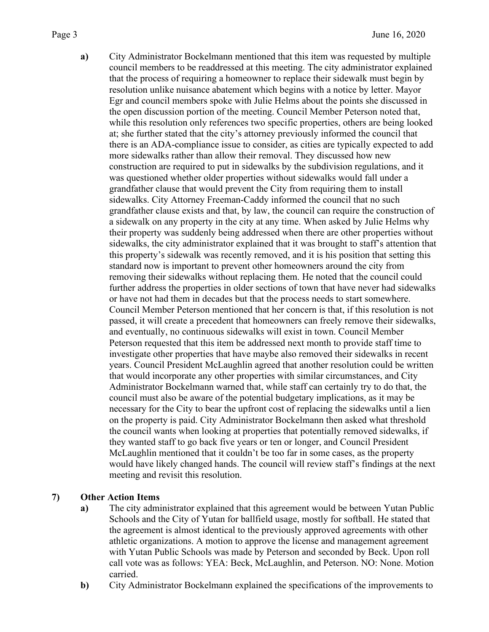**a)** City Administrator Bockelmann mentioned that this item was requested by multiple council members to be readdressed at this meeting. The city administrator explained that the process of requiring a homeowner to replace their sidewalk must begin by resolution unlike nuisance abatement which begins with a notice by letter. Mayor Egr and council members spoke with Julie Helms about the points she discussed in the open discussion portion of the meeting. Council Member Peterson noted that, while this resolution only references two specific properties, others are being looked at; she further stated that the city's attorney previously informed the council that there is an ADA-compliance issue to consider, as cities are typically expected to add more sidewalks rather than allow their removal. They discussed how new construction are required to put in sidewalks by the subdivision regulations, and it was questioned whether older properties without sidewalks would fall under a grandfather clause that would prevent the City from requiring them to install sidewalks. City Attorney Freeman-Caddy informed the council that no such grandfather clause exists and that, by law, the council can require the construction of a sidewalk on any property in the city at any time. When asked by Julie Helms why their property was suddenly being addressed when there are other properties without sidewalks, the city administrator explained that it was brought to staff's attention that this property's sidewalk was recently removed, and it is his position that setting this standard now is important to prevent other homeowners around the city from removing their sidewalks without replacing them. He noted that the council could further address the properties in older sections of town that have never had sidewalks or have not had them in decades but that the process needs to start somewhere. Council Member Peterson mentioned that her concern is that, if this resolution is not passed, it will create a precedent that homeowners can freely remove their sidewalks, and eventually, no continuous sidewalks will exist in town. Council Member Peterson requested that this item be addressed next month to provide staff time to investigate other properties that have maybe also removed their sidewalks in recent years. Council President McLaughlin agreed that another resolution could be written that would incorporate any other properties with similar circumstances, and City Administrator Bockelmann warned that, while staff can certainly try to do that, the council must also be aware of the potential budgetary implications, as it may be necessary for the City to bear the upfront cost of replacing the sidewalks until a lien on the property is paid. City Administrator Bockelmann then asked what threshold the council wants when looking at properties that potentially removed sidewalks, if they wanted staff to go back five years or ten or longer, and Council President McLaughlin mentioned that it couldn't be too far in some cases, as the property would have likely changed hands. The council will review staff's findings at the next meeting and revisit this resolution.

# **7) Other Action Items**

- **a)** The city administrator explained that this agreement would be between Yutan Public Schools and the City of Yutan for ballfield usage, mostly for softball. He stated that the agreement is almost identical to the previously approved agreements with other athletic organizations. A motion to approve the license and management agreement with Yutan Public Schools was made by Peterson and seconded by Beck. Upon roll call vote was as follows: YEA: Beck, McLaughlin, and Peterson. NO: None. Motion carried.
- **b)** City Administrator Bockelmann explained the specifications of the improvements to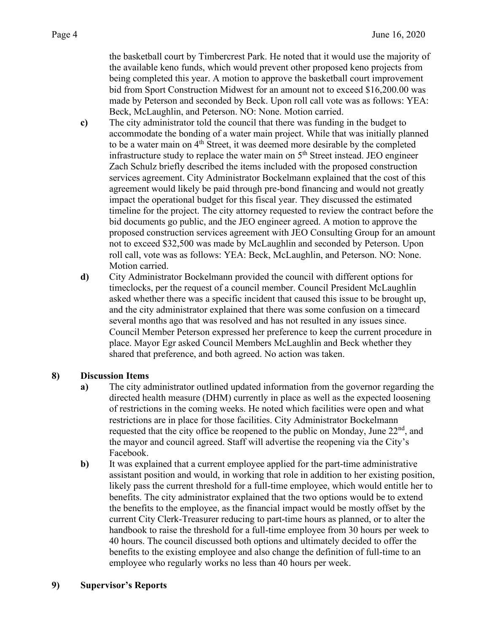the basketball court by Timbercrest Park. He noted that it would use the majority of the available keno funds, which would prevent other proposed keno projects from being completed this year. A motion to approve the basketball court improvement bid from Sport Construction Midwest for an amount not to exceed \$16,200.00 was made by Peterson and seconded by Beck. Upon roll call vote was as follows: YEA: Beck, McLaughlin, and Peterson. NO: None. Motion carried.

- **c)** The city administrator told the council that there was funding in the budget to accommodate the bonding of a water main project. While that was initially planned to be a water main on 4<sup>th</sup> Street, it was deemed more desirable by the completed infrastructure study to replace the water main on  $5<sup>th</sup>$  Street instead. JEO engineer Zach Schulz briefly described the items included with the proposed construction services agreement. City Administrator Bockelmann explained that the cost of this agreement would likely be paid through pre-bond financing and would not greatly impact the operational budget for this fiscal year. They discussed the estimated timeline for the project. The city attorney requested to review the contract before the bid documents go public, and the JEO engineer agreed. A motion to approve the proposed construction services agreement with JEO Consulting Group for an amount not to exceed \$32,500 was made by McLaughlin and seconded by Peterson. Upon roll call, vote was as follows: YEA: Beck, McLaughlin, and Peterson. NO: None. Motion carried.
- **d)** City Administrator Bockelmann provided the council with different options for timeclocks, per the request of a council member. Council President McLaughlin asked whether there was a specific incident that caused this issue to be brought up, and the city administrator explained that there was some confusion on a timecard several months ago that was resolved and has not resulted in any issues since. Council Member Peterson expressed her preference to keep the current procedure in place. Mayor Egr asked Council Members McLaughlin and Beck whether they shared that preference, and both agreed. No action was taken.

# **8) Discussion Items**

- **a)** The city administrator outlined updated information from the governor regarding the directed health measure (DHM) currently in place as well as the expected loosening of restrictions in the coming weeks. He noted which facilities were open and what restrictions are in place for those facilities. City Administrator Bockelmann requested that the city office be reopened to the public on Monday, June  $22<sup>nd</sup>$ , and the mayor and council agreed. Staff will advertise the reopening via the City's Facebook.
- **b)** It was explained that a current employee applied for the part-time administrative assistant position and would, in working that role in addition to her existing position, likely pass the current threshold for a full-time employee, which would entitle her to benefits. The city administrator explained that the two options would be to extend the benefits to the employee, as the financial impact would be mostly offset by the current City Clerk-Treasurer reducing to part-time hours as planned, or to alter the handbook to raise the threshold for a full-time employee from 30 hours per week to 40 hours. The council discussed both options and ultimately decided to offer the benefits to the existing employee and also change the definition of full-time to an employee who regularly works no less than 40 hours per week.